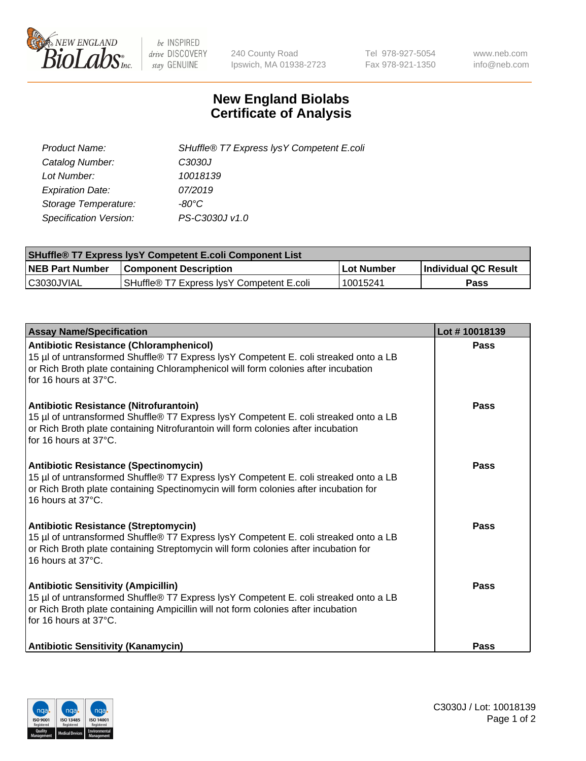

 $be$  INSPIRED drive DISCOVERY stay GENUINE

240 County Road Ipswich, MA 01938-2723 Tel 978-927-5054 Fax 978-921-1350 www.neb.com info@neb.com

## **New England Biolabs Certificate of Analysis**

| SHuffle® T7 Express lysY Competent E.coli |
|-------------------------------------------|
| C3030J                                    |
| 10018139                                  |
| 07/2019                                   |
| -80°C                                     |
| PS-C3030J v1.0                            |
|                                           |

| <b>SHuffle® T7 Express lysY Competent E.coli Component List</b> |                                           |                   |                             |  |
|-----------------------------------------------------------------|-------------------------------------------|-------------------|-----------------------------|--|
| <b>NEB Part Number</b>                                          | <b>Component Description</b>              | <b>Lot Number</b> | <b>Individual QC Result</b> |  |
| C3030JVIAL                                                      | SHuffle® T7 Express IysY Competent E.coli | 10015241          | Pass                        |  |

| <b>Assay Name/Specification</b>                                                                                                                                                                                                                       | Lot #10018139 |
|-------------------------------------------------------------------------------------------------------------------------------------------------------------------------------------------------------------------------------------------------------|---------------|
| <b>Antibiotic Resistance (Chloramphenicol)</b><br>15 µl of untransformed Shuffle® T7 Express lysY Competent E. coli streaked onto a LB<br>or Rich Broth plate containing Chloramphenicol will form colonies after incubation<br>for 16 hours at 37°C. | Pass          |
| Antibiotic Resistance (Nitrofurantoin)<br>15 µl of untransformed Shuffle® T7 Express lysY Competent E. coli streaked onto a LB<br>or Rich Broth plate containing Nitrofurantoin will form colonies after incubation<br>for 16 hours at 37°C.          | Pass          |
| <b>Antibiotic Resistance (Spectinomycin)</b><br>15 µl of untransformed Shuffle® T7 Express lysY Competent E. coli streaked onto a LB<br>or Rich Broth plate containing Spectinomycin will form colonies after incubation for<br>16 hours at 37°C.     | Pass          |
| Antibiotic Resistance (Streptomycin)<br>15 µl of untransformed Shuffle® T7 Express lysY Competent E. coli streaked onto a LB<br>or Rich Broth plate containing Streptomycin will form colonies after incubation for<br>16 hours at 37°C.              | <b>Pass</b>   |
| <b>Antibiotic Sensitivity (Ampicillin)</b><br>15 µl of untransformed Shuffle® T7 Express lysY Competent E. coli streaked onto a LB<br>or Rich Broth plate containing Ampicillin will not form colonies after incubation<br>for 16 hours at 37°C.      | Pass          |
| <b>Antibiotic Sensitivity (Kanamycin)</b>                                                                                                                                                                                                             | Pass          |